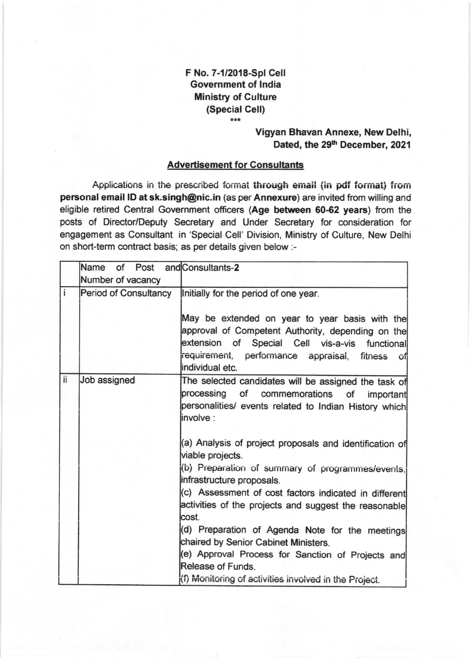## F No. 7-112018-Spl Cell Government of lndia Ministry of Culture (Snecial Cell)

## Vigyan Bhavan Annexe, New Delhi, Dated, the 29<sup>th</sup> December, 2021

## Advertisement for Consultants

Applications in the prescribed format through email (in pdf format) from personal email lD at sk.singh@nic.in (as per Annexure) are invited from willing and eligible retired Central Government officers (Age between 60-62 years) from the posts of Director/Deputy Secretary and Under Secretary for consideration for engagement as Consultant in 'Special Cell' Division, Ministry of Culture, New Delhi on short-term contract basis; as per details given below :-

|              | Name of Post and Consultants-2<br>Number of vacancy |                                                                                                                                                                                                                                                                                                                                                                                                                                                                                                                                                                                                                                                                                                   |
|--------------|-----------------------------------------------------|---------------------------------------------------------------------------------------------------------------------------------------------------------------------------------------------------------------------------------------------------------------------------------------------------------------------------------------------------------------------------------------------------------------------------------------------------------------------------------------------------------------------------------------------------------------------------------------------------------------------------------------------------------------------------------------------------|
| $\mathbf{i}$ | <b>Period of Consultancy</b>                        | Initially for the period of one year.<br>May be extended on year to year basis with the<br>approval of Competent Authority, depending on the<br>extension of Special Cell vis-a-vis functional<br>requirement, performance appraisal, fitness of<br>individual etc.                                                                                                                                                                                                                                                                                                                                                                                                                               |
| ii           | Job assigned                                        | The selected candidates will be assigned the task of<br>processing of commemorations of important<br>personalities/ events related to Indian History which<br>linvolve :<br>(a) Analysis of project proposals and identification of<br>viable projects.<br>(b) Preparation of summary of programmes/events,<br>infrastructure proposals.<br>(c) Assessment of cost factors indicated in different<br>activities of the projects and suggest the reasonable<br>cost.<br>(d) Preparation of Agenda Note for the meetings<br>chaired by Senior Cabinet Ministers.<br>(e) Approval Process for Sanction of Projects and<br>Release of Funds.<br>(f) Monitoring of activities involved in the Project. |